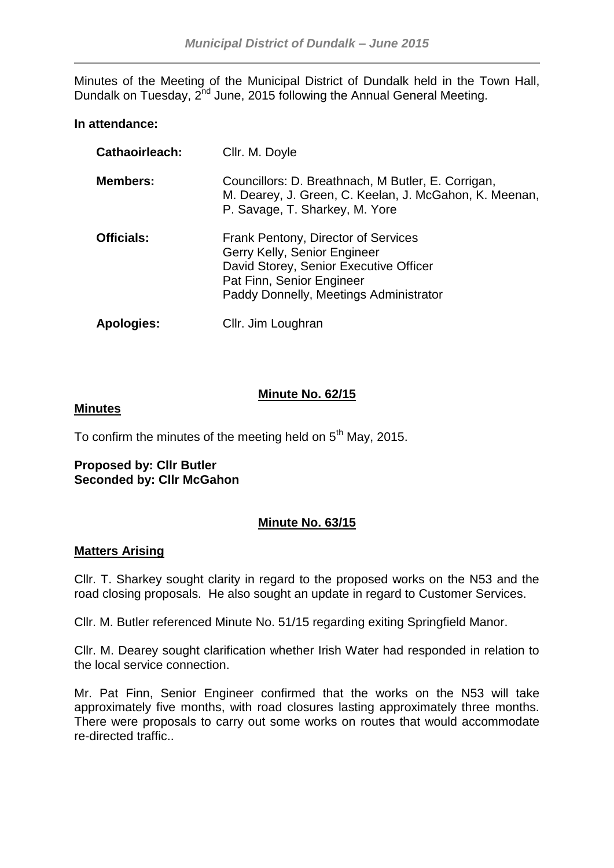Minutes of the Meeting of the Municipal District of Dundalk held in the Town Hall, Dundalk on Tuesday, 2<sup>nd</sup> June, 2015 following the Annual General Meeting.

## **In attendance:**

| Cathaoirleach:    | Cllr. M. Doyle                                                                                                                                                                       |
|-------------------|--------------------------------------------------------------------------------------------------------------------------------------------------------------------------------------|
| <b>Members:</b>   | Councillors: D. Breathnach, M Butler, E. Corrigan,<br>M. Dearey, J. Green, C. Keelan, J. McGahon, K. Meenan,<br>P. Savage, T. Sharkey, M. Yore                                       |
| <b>Officials:</b> | Frank Pentony, Director of Services<br>Gerry Kelly, Senior Engineer<br>David Storey, Senior Executive Officer<br>Pat Finn, Senior Engineer<br>Paddy Donnelly, Meetings Administrator |
| Apologies:        | Cllr. Jim Loughran                                                                                                                                                                   |

# **Minute No. 62/15**

#### **Minutes**

To confirm the minutes of the meeting held on  $5<sup>th</sup>$  May, 2015.

#### **Proposed by: Cllr Butler Seconded by: Cllr McGahon**

# **Minute No. 63/15**

## **Matters Arising**

Cllr. T. Sharkey sought clarity in regard to the proposed works on the N53 and the road closing proposals. He also sought an update in regard to Customer Services.

Cllr. M. Butler referenced Minute No. 51/15 regarding exiting Springfield Manor.

Cllr. M. Dearey sought clarification whether Irish Water had responded in relation to the local service connection.

Mr. Pat Finn, Senior Engineer confirmed that the works on the N53 will take approximately five months, with road closures lasting approximately three months. There were proposals to carry out some works on routes that would accommodate re-directed traffic..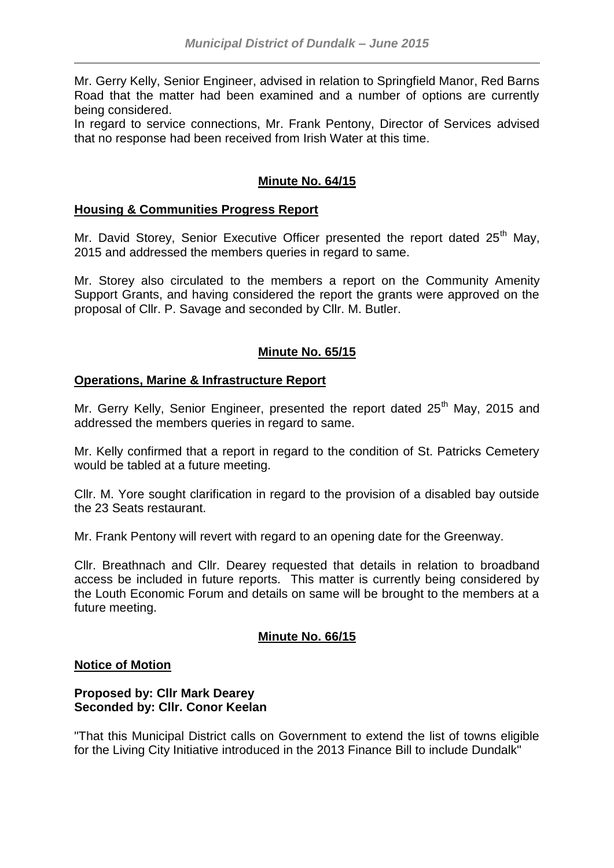Mr. Gerry Kelly, Senior Engineer, advised in relation to Springfield Manor, Red Barns Road that the matter had been examined and a number of options are currently being considered.

In regard to service connections, Mr. Frank Pentony, Director of Services advised that no response had been received from Irish Water at this time.

# **Minute No. 64/15**

### **Housing & Communities Progress Report**

Mr. David Storey, Senior Executive Officer presented the report dated 25<sup>th</sup> May, 2015 and addressed the members queries in regard to same.

Mr. Storey also circulated to the members a report on the Community Amenity Support Grants, and having considered the report the grants were approved on the proposal of Cllr. P. Savage and seconded by Cllr. M. Butler.

## **Minute No. 65/15**

#### **Operations, Marine & Infrastructure Report**

Mr. Gerry Kelly, Senior Engineer, presented the report dated 25<sup>th</sup> May, 2015 and addressed the members queries in regard to same.

Mr. Kelly confirmed that a report in regard to the condition of St. Patricks Cemetery would be tabled at a future meeting.

Cllr. M. Yore sought clarification in regard to the provision of a disabled bay outside the 23 Seats restaurant.

Mr. Frank Pentony will revert with regard to an opening date for the Greenway.

Cllr. Breathnach and Cllr. Dearey requested that details in relation to broadband access be included in future reports. This matter is currently being considered by the Louth Economic Forum and details on same will be brought to the members at a future meeting.

## **Minute No. 66/15**

#### **Notice of Motion**

### **Proposed by: Cllr Mark Dearey Seconded by: Cllr. Conor Keelan**

"That this Municipal District calls on Government to extend the list of towns eligible for the Living City Initiative introduced in the 2013 Finance Bill to include Dundalk"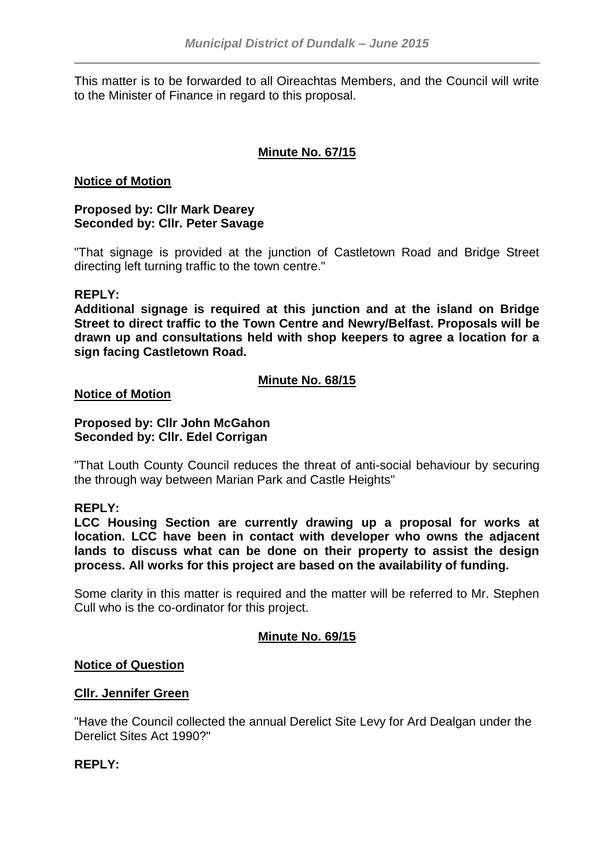This matter is to be forwarded to all Oireachtas Members, and the Council will write to the Minister of Finance in regard to this proposal.

# **Minute No. 67/15**

### **Notice of Motion**

## **Proposed by: Cllr Mark Dearey Seconded by: Cllr. Peter Savage**

"That signage is provided at the junction of Castletown Road and Bridge Street directing left turning traffic to the town centre."

#### **REPLY:**

**Additional signage is required at this junction and at the island on Bridge Street to direct traffic to the Town Centre and Newry/Belfast. Proposals will be drawn up and consultations held with shop keepers to agree a location for a sign facing Castletown Road.**

## **Minute No. 68/15**

**Notice of Motion**

### **Proposed by: Cllr John McGahon Seconded by: Cllr. Edel Corrigan**

"That Louth County Council reduces the threat of anti-social behaviour by securing the through way between Marian Park and Castle Heights"

## **REPLY:**

**LCC Housing Section are currently drawing up a proposal for works at location. LCC have been in contact with developer who owns the adjacent lands to discuss what can be done on their property to assist the design process. All works for this project are based on the availability of funding.**

Some clarity in this matter is required and the matter will be referred to Mr. Stephen Cull who is the co-ordinator for this project.

## **Minute No. 69/15**

#### **Notice of Question**

#### **Cllr. Jennifer Green**

"Have the Council collected the annual Derelict Site Levy for Ard Dealgan under the Derelict Sites Act 1990?"

## **REPLY:**